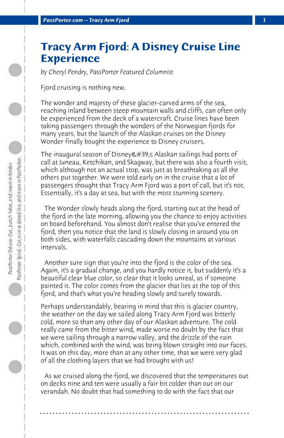## **Tracy Arm Fjord: A Disney Cruise Line Experience**

*by Cheryl Pendry, PassPorter Featured Columnist*

Fjord cruising is nothing new.

The wonder and majesty of these glacier-carved arms of the sea, reaching inland between steep mountain walls and cliffs, can often only be experienced from the deck of a watercraft. Cruise lines have been taking passengers through the wonders of the Norwegian fjords for many years, but the launch of the Alaskan cruises on the Disney Wonder finally bought the experience to Disney cruisers.

The inaugural season of Disney's Alaskan sailings had ports of call at Juneau, Ketchikan, and Skagway, but there was also a fourth visit, which although not an actual stop, was just as breathtaking as all the others put together. We were told early on in the cruise that a lot of passengers thought that Tracy Arm Fjord was a port of call, but it's not. Essentially, it's a day at sea, but with the most stunning scenery.

 The Wonder slowly heads along the fjord, starting out at the head of the fjord in the late morning, allowing you the chance to enjoy activities on board beforehand. You almost don't realise that you've entered the fjord, then you notice that the land is slowly closing in around you on both sides, with waterfalls cascading down the mountains at various intervals.

 Another sure sign that you're into the fjord is the color of the sea. Again, it's a gradual change, and you hardly notice it, but suddenly it's a beautiful clear blue color, so clear that it looks unreal, as if someone painted it. The color comes from the glacier that lies at the top of this fjord, and that's what you're heading slowly and surely towards.

Perhaps understandably, bearing in mind that this is glacier country, the weather on the day we sailed along Tracy Arm Fjord was bitterly cold, more so than any other day of our Alaskan adventure. The cold really came from the bitter wind, made worse no doubt by the fact that we were sailing through a narrow valley, and the drizzle of the rain which, combined with the wind, was being blown straight into our faces. It was on this day, more than at any other time, that we were very glad of all the clothing layers that we had brought with us!

 As we cruised along the fjord, we discovered that the temperatures out on decks nine and ten were usually a fair bit colder than out on our verandah. No doubt that had something to do with the fact that our

**. . . . . . . . . . . . . . . . . . . . . . . . . . . . . . . . . . . . . . . . . . . . . . . . . . . . . . . . . . . . . . . . . .**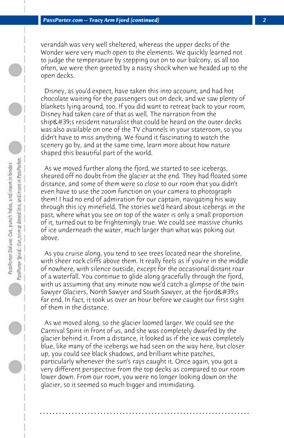verandah was very well sheltered, whereas the upper decks of the Wonder were very much open to the elements. We quickly learned not to judge the temperature by stepping out on to our balcony, as all too often, we were then greeted by a nasty shock when we headed up to the open decks.

 Disney, as you'd expect, have taken this into account, and had hot chocolate waiting for the passengers out on deck, and we saw plenty of blankets lying around, too. If you did want to retreat back to your room, Disney had taken care of that as well. The narration from the ship's resident naturalist that could be heard on the outer decks was also available on one of the TV channels in your stateroom, so you didn't have to miss anything. We found it fascinating to watch the scenery go by, and at the same time, learn more about how nature shaped this beautiful part of the world.

 As we moved further along the fjord, we started to see icebergs, sheared off no doubt from the glacier at the end. They had floated some distance, and some of them were so close to our room that you didn't even have to use the zoom function on your camera to photograph them! I had no end of admiration for our captain, navigating his way through this icy minefield. The stories we'd heard about icebergs in the past, where what you see on top of the water is only a small proportion of it, turned out to be frighteningly true. We could see massive chunks of ice underneath the water, much larger than what was poking out above.

 As you cruise along, you tend to see trees located near the shoreline, with sheer rock cliffs above them. It really feels as if you're in the middle of nowhere, with silence outside, except for the occasional distant roar of a waterfall. You continue to glide along gracefully through the fjord, with us assuming that any minute now we'd catch a glimpse of the twin Sawyer Glaciers, North Sawyer and South Sawyer, at the fjord's far end. In fact, it took us over an hour before we caught our first sight of them in the distance.

 As we moved along, so the glacier loomed larger. We could see the Carnival Spirit in front of us, and she was completely dwarfed by the glacier behind it. From a distance, it looked as if the ice was completely blue, like many of the icebergs we had seen on the way here, but closer up, you could see black shadows, and brilliant white patches, particularly whenever the sun's rays caught it. Once again, you got a very different perspective from the top decks as compared to our room lower down. From our room, you were no longer looking down on the glacier, so it seemed so much bigger and intimidating.

**. . . . . . . . . . . . . . . . . . . . . . . . . . . . . . . . . . . . . . . . . . . . . . . . . . . . . . . . . . . . . . . . . .**